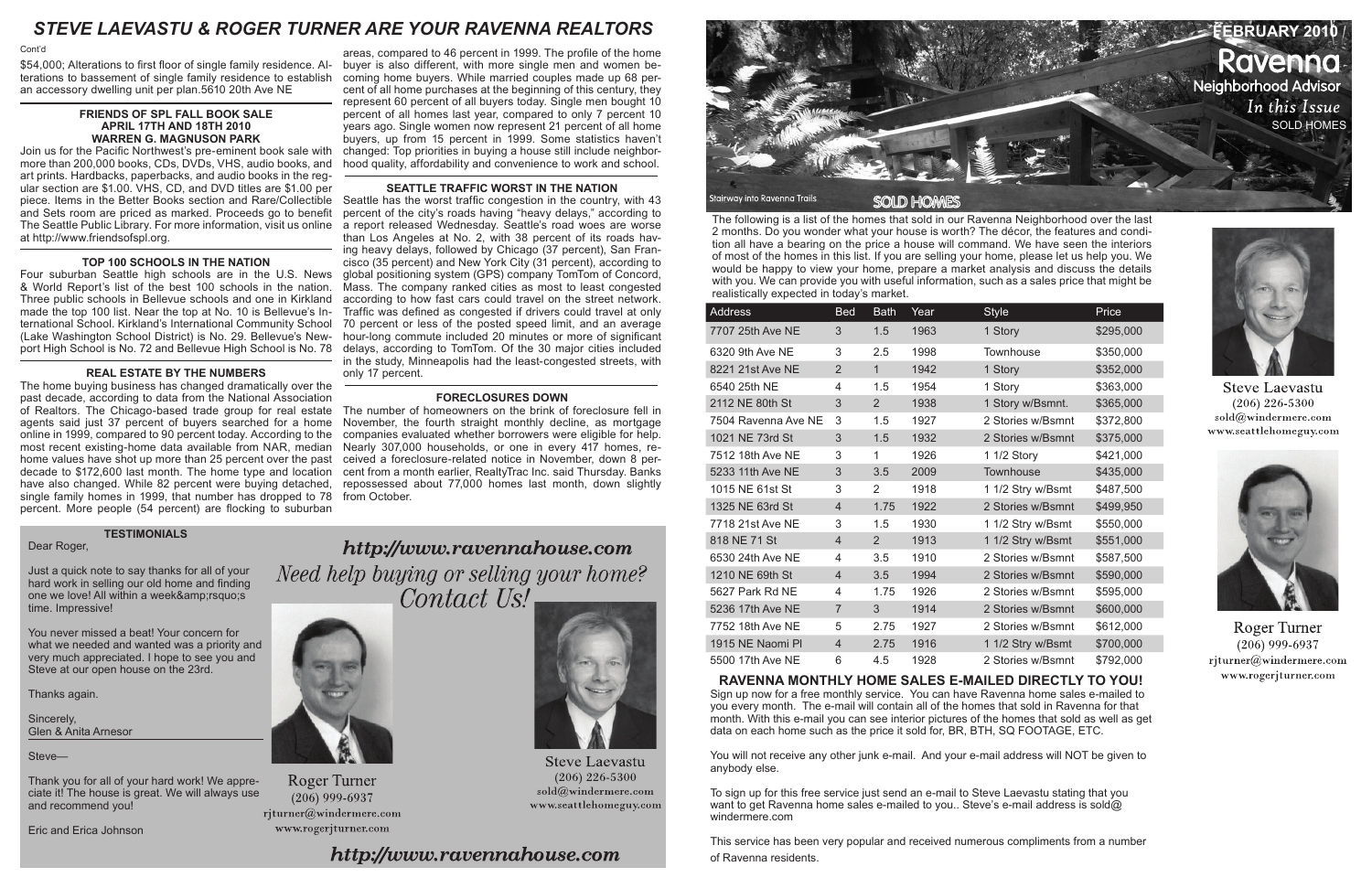

The following is a list of the homes that sold in our Ravenna Neighborhood over the last 2 months. Do you wonder what your house is worth? The décor, the features and condition all have a bearing on the price a house will command. We have seen the interiors of most of the homes in this list. If you are selling your home, please let us help you. We would be happy to view your home, prepare a market analysis and discuss the details with you. We can provide you with useful information, such as a sales price that might be realistically expected in today's market.

| <b>Address</b>      | <b>Bed</b>     | <b>Bath</b>    | Year | <b>Style</b>      | Price     |
|---------------------|----------------|----------------|------|-------------------|-----------|
| 7707 25th Ave NE    | 3              | 1.5            | 1963 | 1 Story           | \$295,000 |
| 6320 9th Ave NE     | 3              | 2.5            | 1998 | Townhouse         | \$350,000 |
| 8221 21st Ave NE    | $\overline{2}$ | $\mathbf{1}$   | 1942 | 1 Story           | \$352,000 |
| 6540 25th NE        | 4              | 1.5            | 1954 | 1 Story           | \$363,000 |
| 2112 NE 80th St     | 3              | 2              | 1938 | 1 Story w/Bsmnt.  | \$365,000 |
| 7504 Ravenna Ave NE | 3              | 1.5            | 1927 | 2 Stories w/Bsmnt | \$372,800 |
| 1021 NE 73rd St     | 3              | 1.5            | 1932 | 2 Stories w/Bsmnt | \$375,000 |
| 7512 18th Ave NE    | 3              | 1              | 1926 | 1 1/2 Story       | \$421,000 |
| 5233 11th Ave NE    | 3              | 3.5            | 2009 | Townhouse         | \$435,000 |
| 1015 NE 61st St     | 3              | 2              | 1918 | 1 1/2 Stry w/Bsmt | \$487,500 |
| 1325 NE 63rd St     | $\overline{4}$ | 1.75           | 1922 | 2 Stories w/Bsmnt | \$499,950 |
| 7718 21st Ave NE    | 3              | 1.5            | 1930 | 1 1/2 Stry w/Bsmt | \$550,000 |
| 818 NE 71 St        | $\overline{4}$ | $\overline{2}$ | 1913 | 1 1/2 Stry w/Bsmt | \$551,000 |
| 6530 24th Ave NE    | 4              | 3.5            | 1910 | 2 Stories w/Bsmnt | \$587,500 |
| 1210 NE 69th St     | $\overline{4}$ | 3.5            | 1994 | 2 Stories w/Bsmnt | \$590,000 |
| 5627 Park Rd NE     | 4              | 1.75           | 1926 | 2 Stories w/Bsmnt | \$595,000 |
| 5236 17th Ave NE    | $\overline{7}$ | 3              | 1914 | 2 Stories w/Bsmnt | \$600,000 |
| 7752 18th Ave NE    | 5              | 2.75           | 1927 | 2 Stories w/Bsmnt | \$612,000 |
| 1915 NE Naomi Pl    | $\overline{4}$ | 2.75           | 1916 | 1 1/2 Stry w/Bsmt | \$700,000 |
| 5500 17th Ave NE    | 6              | 4.5            | 1928 | 2 Stories w/Bsmnt | \$792,000 |

**RAVENNA MONTHLY HOME SALES E-MAILED DIRECTLY TO YOU!**  Sign up now for a free monthly service. You can have Ravenna home sales e-mailed to you every month. The e-mail will contain all of the homes that sold in Ravenna for that month. With this e-mail you can see interior pictures of the homes that sold as well as get data on each home such as the price it sold for, BR, BTH, SQ FOOTAGE, ETC.

You will not receive any other junk e-mail. And your e-mail address will NOT be given to anybody else.

To sign up for this free service just send an e-mail to Steve Laevastu stating that you want to get Ravenna home sales e-mailed to you.. Steve's e-mail address is sold@ windermere.com

This service has been very popular and received numerous compliments from a number of Ravenna residents.



**Steve Laevastu**  $(206)$  226-5300 sold@windermere.com www.seattlehomeguy.com



**Roger Turner**  $(206)$  999-6937 rjturner@windermere.com www.rogerjturner.com

\$54,000; Alterations to first floor of single family residence. Al-buyer is also different, with more single men and women beterations to bassement of single family residence to establish an accessory dwelling unit per plan.5610 20th Ave NE

#### **FRIENDS OF SPL FALL BOOK SALE APRIL 17TH AND 18TH 2010 WARREN G. MAGNUSON PARK**

Join us for the Pacific Northwest's pre-eminent book sale with more than 200,000 books, CDs, DVDs, VHS, audio books, and art prints. Hardbacks, paperbacks, and audio books in the regular section are \$1.00. VHS, CD, and DVD titles are \$1.00 per piece. Items in the Better Books section and Rare/Collectible and Sets room are priced as marked. Proceeds go to benefit The Seattle Public Library. For more information, visit us online at http://www.friendsofspl.org.

#### **TOP 100 SCHOOLS IN THE NATION**

Thank you for all of your hard work! We appreciate it! The house is great. We will always use and recommend you! rjturner@windermere.com

Four suburban Seattle high schools are in the U.S. News & World Report's list of the best 100 schools in the nation. Three public schools in Bellevue schools and one in Kirkland made the top 100 list. Near the top at No. 10 is Bellevue's International School. Kirkland's International Community School (Lake Washington School District) is No. 29. Bellevue's Newport High School is No. 72 and Bellevue High School is No. 78

#### **REAL ESTATE BY THE NUMBERS**

The home buying business has changed dramatically over the past decade, according to data from the National Association of Realtors. The Chicago-based trade group for real estate agents said just 37 percent of buyers searched for a home online in 1999, compared to 90 percent today. According to the most recent existing-home data available from NAR, median home values have shot up more than 25 percent over the past decade to \$172,600 last month. The home type and location have also changed. While 82 percent were buying detached, single family homes in 1999, that number has dropped to 78 percent. More people (54 percent) are flocking to suburban

areas, compared to 46 percent in 1999. The profile of the home coming home buyers. While married couples made up 68 percent of all home purchases at the beginning of this century, they represent 60 percent of all buyers today. Single men bought 10 percent of all homes last year, compared to only 7 percent 10 years ago. Single women now represent 21 percent of all home buyers, up from 15 percent in 1999. Some statistics haven't changed: Top priorities in buying a house still include neighborhood quality, affordability and convenience to work and school.

### **SEATTLE TRAFFIC WORST IN THE NATION**

Seattle has the worst traffic congestion in the country, with 43 percent of the city's roads having "heavy delays," according to a report released Wednesday. Seattle's road woes are worse than Los Angeles at No. 2, with 38 percent of its roads having heavy delays, followed by Chicago (37 percent), San Francisco (35 percent) and New York City (31 percent), according to global positioning system (GPS) company TomTom of Concord, Mass. The company ranked cities as most to least congested according to how fast cars could travel on the street network. Traffic was defined as congested if drivers could travel at only 70 percent or less of the posted speed limit, and an average hour-long commute included 20 minutes or more of significant delays, according to TomTom. Of the 30 major cities included in the study, Minneapolis had the least-congested streets, with only 17 percent.

#### **FORECLOSURES DOWN**

The number of homeowners on the brink of foreclosure fell in November, the fourth straight monthly decline, as mortgage companies evaluated whether borrowers were eligible for help. Nearly 307,000 households, or one in every 417 homes, received a foreclosure-related notice in November, down 8 percent from a month earlier, RealtyTrac Inc. said Thursday. Banks repossessed about 77,000 homes last month, down slightly from October.

Cont'd

## **TESTIMONIALS**

Dear Roger,

Just a quick note to say thanks for all of your hard work in selling our old home and finding one we love! All within a week& rsquo;s time. Impressive!

You never missed a beat! Your concern for what we needed and wanted was a priority and very much appreciated. I hope to see you and Steve at our open house on the 23rd.

Thanks again.

Sincerely, Glen & Anita Arnesor

Steve—

Eric and Erica Johnson





**Steve Laevastu**  $(206)$  226-5300 sold@windermere.com www.seattlehomeguy.com



**Roger Turner** 

 $(206)$  999-6937

www.rogerjturner.com